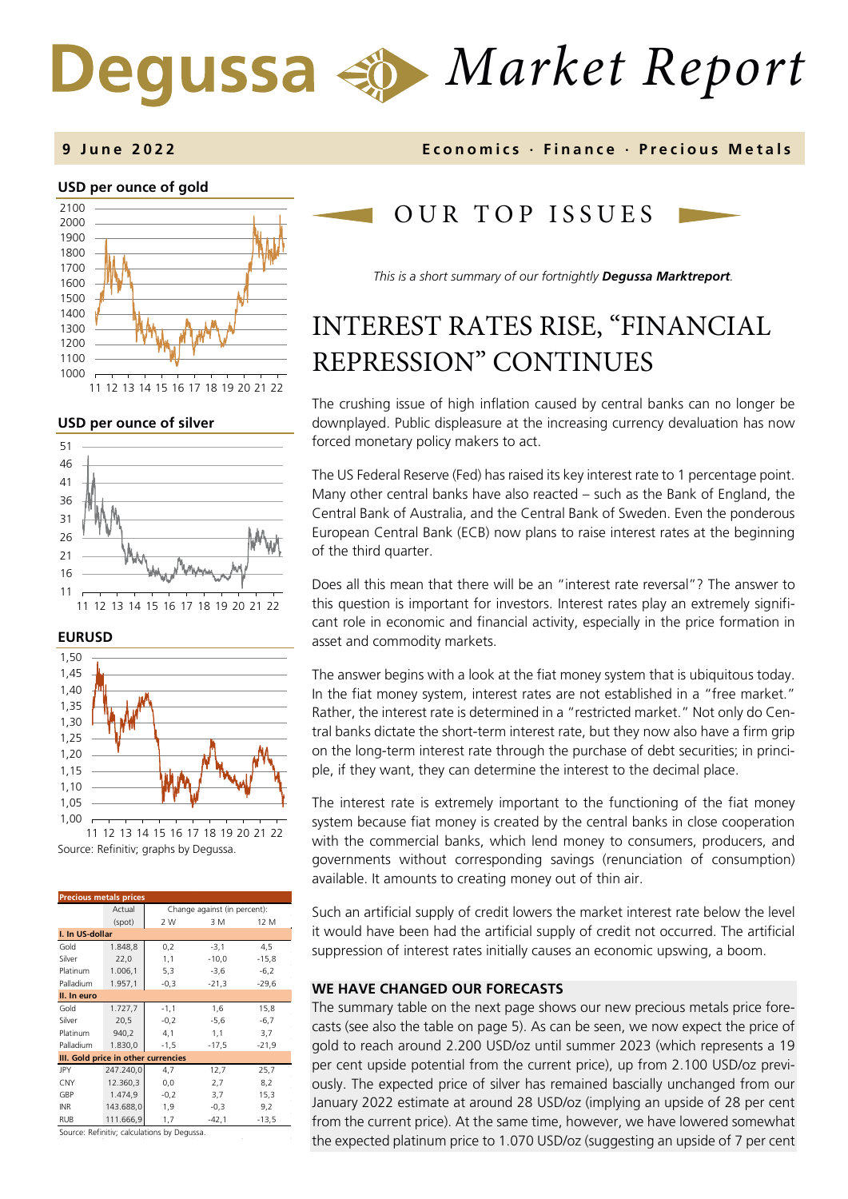# *Market Report* Degussa

### **USD per ounce of gold**  1000 1100 1200 1300 1400 1500 1600 1700 1800 1900 2000 2100 11 12 13 14 15 16 17 18 19 20 21 22

### **USD per ounce of silver**







Source: Refinitiv; graphs by Degussa.

| <b>Precious metals prices</b>             |           |                              |         |         |  |  |
|-------------------------------------------|-----------|------------------------------|---------|---------|--|--|
|                                           | Actual    | Change against (in percent): |         |         |  |  |
|                                           | (spot)    | 2 W                          | 3 M     | 12 M    |  |  |
| I. In US-dollar                           |           |                              |         |         |  |  |
| Gold                                      | 1.848,8   | 0,2                          | $-3,1$  | 4,5     |  |  |
| Silver                                    | 22,0      | 1,1                          | $-10,0$ | $-15,8$ |  |  |
| Platinum                                  | 1.006,1   | 5,3                          | $-3,6$  | $-6,2$  |  |  |
| Palladium                                 | 1.957,1   | $-0,3$                       | $-21,3$ | $-29,6$ |  |  |
| II. In euro                               |           |                              |         |         |  |  |
| Gold                                      | 1.727,7   | $-1,1$                       | 1,6     | 15,8    |  |  |
| Silver                                    | 20,5      | $-0,2$                       | $-5,6$  | $-6,7$  |  |  |
| Platinum                                  | 940,2     | 4,1                          | 1,1     | 3,7     |  |  |
| Palladium                                 | 1.830,0   | $-1,5$                       | $-17,5$ | $-21,9$ |  |  |
| III. Gold price in other currencies       |           |                              |         |         |  |  |
| <b>JPY</b>                                | 247.240,0 | 4,7                          | 12,7    | 25,7    |  |  |
| CNY                                       | 12.360,3  | 0,0                          | 2,7     | 8,2     |  |  |
| GBP                                       | 1.474,9   | $-0,2$                       | 3,7     | 15,3    |  |  |
| <b>INR</b>                                | 143.688,0 | 1,9                          | $-0,3$  | 9,2     |  |  |
| <b>RUB</b>                                | 111.666,9 | 1,7                          | $-42,1$ | $-13,5$ |  |  |
| Correspondentes de la destaca las Nombres |           |                              |         |         |  |  |

Source: Refinitiv; calculations by Degussa.

### **9 June 202 2 Economics · Finance · Precious Metals**

### OUR TOP ISSUE S

*This is a short summary of our fortnightly Degussa Marktreport.* 

# INTEREST RATES RISE, "FINANCIAL REPRESSION" CONTINUES

The crushing issue of high inflation caused by central banks can no longer be downplayed. Public displeasure at the increasing currency devaluation has now forced monetary policy makers to act.

The US Federal Reserve (Fed) has raised its key interest rate to 1 percentage point. Many other central banks have also reacted – such as the Bank of England, the Central Bank of Australia, and the Central Bank of Sweden. Even the ponderous European Central Bank (ECB) now plans to raise interest rates at the beginning of the third quarter.

Does all this mean that there will be an "interest rate reversal"? The answer to this question is important for investors. Interest rates play an extremely significant role in economic and financial activity, especially in the price formation in asset and commodity markets.

The answer begins with a look at the fiat money system that is ubiquitous today. In the fiat money system, interest rates are not established in a "free market." Rather, the interest rate is determined in a "restricted market." Not only do Central banks dictate the short-term interest rate, but they now also have a firm grip on the long-term interest rate through the purchase of debt securities; in principle, if they want, they can determine the interest to the decimal place.

The interest rate is extremely important to the functioning of the fiat money system because fiat money is created by the central banks in close cooperation with the commercial banks, which lend money to consumers, producers, and governments without corresponding savings (renunciation of consumption) available. It amounts to creating money out of thin air.

Such an artificial supply of credit lowers the market interest rate below the level it would have been had the artificial supply of credit not occurred. The artificial suppression of interest rates initially causes an economic upswing, a boom.

### **WE HAVE CHANGED OUR FORECASTS**

The summary table on the next page shows our new precious metals price forecasts (see also the table on page 5). As can be seen, we now expect the price of gold to reach around 2.200 USD/oz until summer 2023 (which represents a 19 per cent upside potential from the current price), up from 2.100 USD/oz previously. The expected price of silver has remained bascially unchanged from our January 2022 estimate at around 28 USD/oz (implying an upside of 28 per cent from the current price). At the same time, however, we have lowered somewhat the expected platinum price to 1.070 USD/oz (suggesting an upside of 7 per cent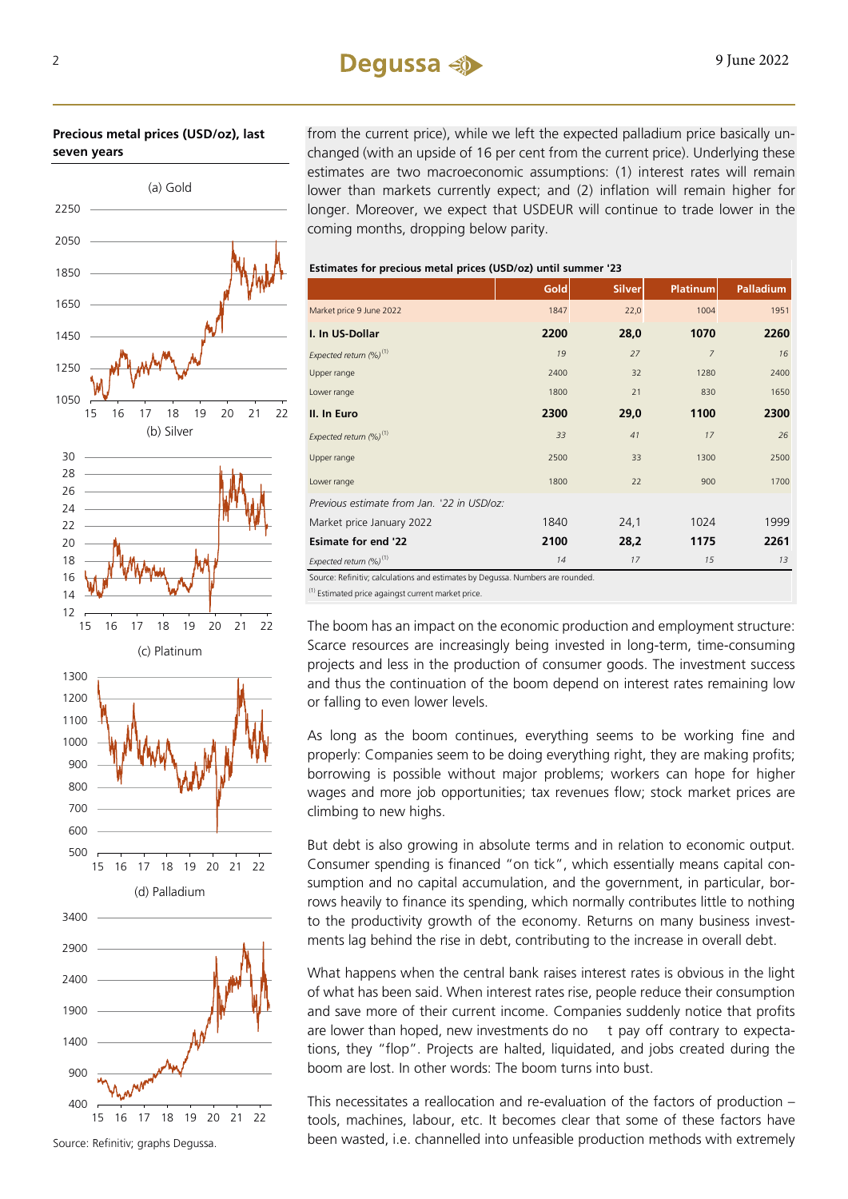### $2 \qquad \qquad \text{Degussa} \leq 9 \text{ June } 2022$

**Precious metal prices (USD/oz), last seven years**

from the current price), while we left the expected palladium price basically unchanged (with an upside of 16 per cent from the current price). Underlying these estimates are two macroeconomic assumptions: (1) interest rates will remain lower than markets currently expect; and (2) inflation will remain higher for longer. Moreover, we expect that USDEUR will continue to trade lower in the coming months, dropping below parity.

**Estimates for precious metal prices (USD/oz) until summer '23**

|                                                                                | <b>Gold</b> | <b>Silver</b> | <b>Platinum</b> | <b>Palladium</b> |
|--------------------------------------------------------------------------------|-------------|---------------|-----------------|------------------|
| Market price 9 June 2022                                                       | 1847        | 22,0          | 1004            | 1951             |
| I. In US-Dollar                                                                | 2200        | 28,0          | 1070            | 2260             |
| Expected return (%) <sup>(1)</sup>                                             | 19          | 27            | $\overline{7}$  | 16               |
| Upper range                                                                    | 2400        | 32            | 1280            | 2400             |
| Lower range                                                                    | 1800        | 21            | 830             | 1650             |
| II. In Euro                                                                    | 2300        | 29,0          | 1100            | 2300             |
| Expected return $(\%)^{(1)}$                                                   | 33          | 41            | 17              | 26               |
| Upper range                                                                    | 2500        | 33            | 1300            | 2500             |
| Lower range                                                                    | 1800        | 22            | 900             | 1700             |
| Previous estimate from Jan. '22 in USD/oz:                                     |             |               |                 |                  |
| Market price January 2022                                                      | 1840        | 24,1          | 1024            | 1999             |
| <b>Esimate for end '22</b>                                                     | 2100        | 28,2          | 1175            | 2261             |
| Expected return $(\%)^{(1)}$                                                   | 14          | 17            | 15              | 13               |
| Source: Refinitiv; calculations and estimates by Degussa. Numbers are rounded. |             |               |                 |                  |

 $(1)$  Estimated price againgst current market price

The boom has an impact on the economic production and employment structure: Scarce resources are increasingly being invested in long-term, time-consuming projects and less in the production of consumer goods. The investment success and thus the continuation of the boom depend on interest rates remaining low or falling to even lower levels.

As long as the boom continues, everything seems to be working fine and properly: Companies seem to be doing everything right, they are making profits; borrowing is possible without major problems; workers can hope for higher wages and more job opportunities; tax revenues flow; stock market prices are climbing to new highs.

But debt is also growing in absolute terms and in relation to economic output. Consumer spending is financed "on tick", which essentially means capital consumption and no capital accumulation, and the government, in particular, borrows heavily to finance its spending, which normally contributes little to nothing to the productivity growth of the economy. Returns on many business investments lag behind the rise in debt, contributing to the increase in overall debt.

What happens when the central bank raises interest rates is obvious in the light of what has been said. When interest rates rise, people reduce their consumption and save more of their current income. Companies suddenly notice that profits are lower than hoped, new investments do no  $t$  pay off contrary to expectations, they "flop". Projects are halted, liquidated, and jobs created during the boom are lost. In other words: The boom turns into bust.

This necessitates a reallocation and re-evaluation of the factors of production – tools, machines, labour, etc. It becomes clear that some of these factors have been wasted, i.e. channelled into unfeasible production methods with extremely

Source: Refinitiv; graphs Degussa.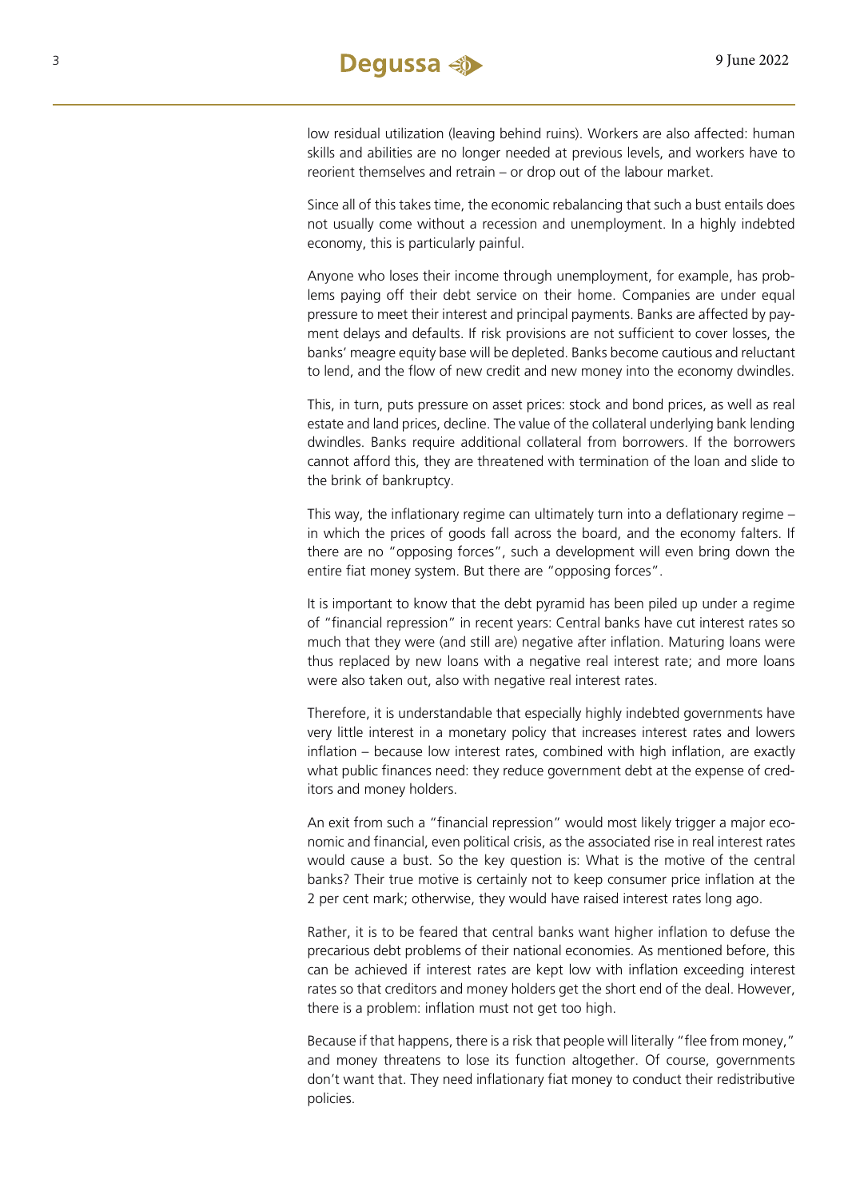low residual utilization (leaving behind ruins). Workers are also affected: human skills and abilities are no longer needed at previous levels, and workers have to reorient themselves and retrain – or drop out of the labour market.

Since all of this takes time, the economic rebalancing that such a bust entails does not usually come without a recession and unemployment. In a highly indebted economy, this is particularly painful.

Anyone who loses their income through unemployment, for example, has problems paying off their debt service on their home. Companies are under equal pressure to meet their interest and principal payments. Banks are affected by payment delays and defaults. If risk provisions are not sufficient to cover losses, the banks' meagre equity base will be depleted. Banks become cautious and reluctant to lend, and the flow of new credit and new money into the economy dwindles.

This, in turn, puts pressure on asset prices: stock and bond prices, as well as real estate and land prices, decline. The value of the collateral underlying bank lending dwindles. Banks require additional collateral from borrowers. If the borrowers cannot afford this, they are threatened with termination of the loan and slide to the brink of bankruptcy.

This way, the inflationary regime can ultimately turn into a deflationary regime – in which the prices of goods fall across the board, and the economy falters. If there are no "opposing forces", such a development will even bring down the entire fiat money system. But there are "opposing forces".

It is important to know that the debt pyramid has been piled up under a regime of "financial repression" in recent years: Central banks have cut interest rates so much that they were (and still are) negative after inflation. Maturing loans were thus replaced by new loans with a negative real interest rate; and more loans were also taken out, also with negative real interest rates.

Therefore, it is understandable that especially highly indebted governments have very little interest in a monetary policy that increases interest rates and lowers inflation – because low interest rates, combined with high inflation, are exactly what public finances need: they reduce government debt at the expense of creditors and money holders.

An exit from such a "financial repression" would most likely trigger a major economic and financial, even political crisis, as the associated rise in real interest rates would cause a bust. So the key question is: What is the motive of the central banks? Their true motive is certainly not to keep consumer price inflation at the 2 per cent mark; otherwise, they would have raised interest rates long ago.

Rather, it is to be feared that central banks want higher inflation to defuse the precarious debt problems of their national economies. As mentioned before, this can be achieved if interest rates are kept low with inflation exceeding interest rates so that creditors and money holders get the short end of the deal. However, there is a problem: inflation must not get too high.

Because if that happens, there is a risk that people will literally "flee from money," and money threatens to lose its function altogether. Of course, governments don't want that. They need inflationary fiat money to conduct their redistributive policies.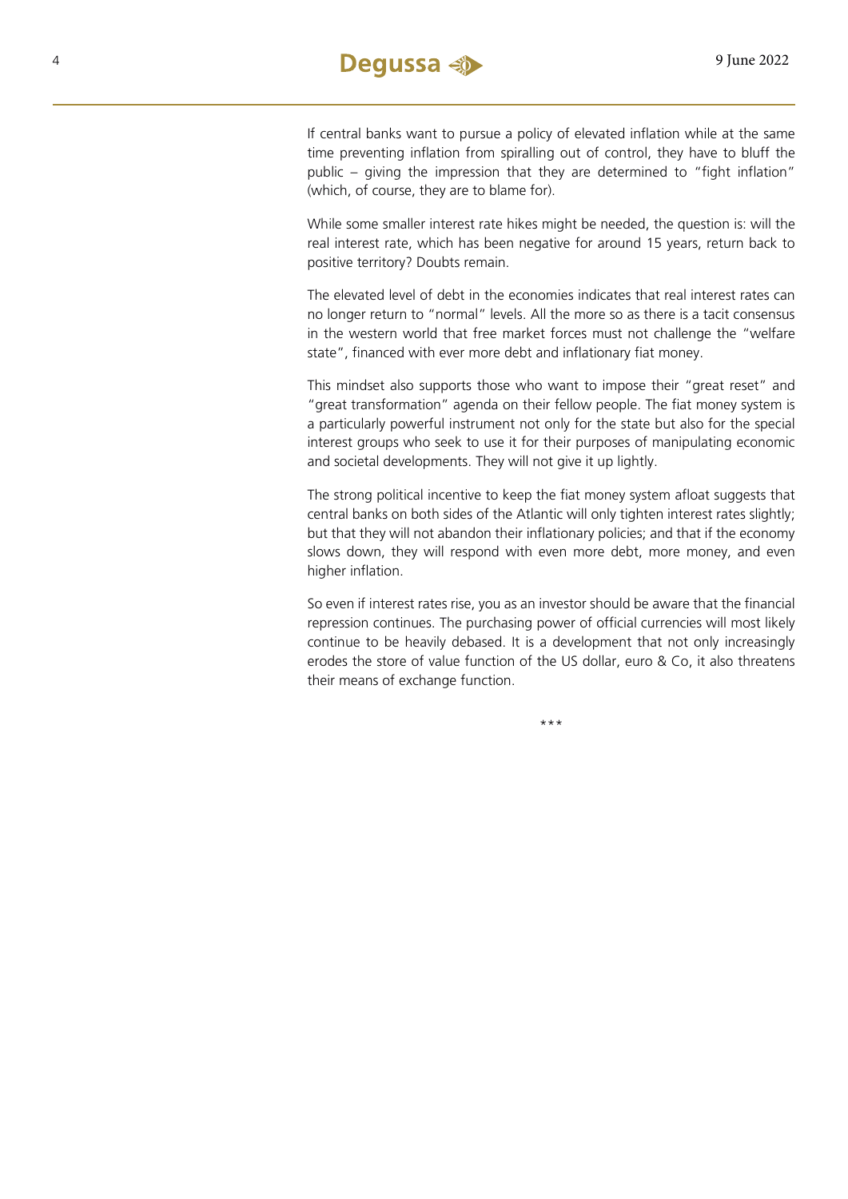If central banks want to pursue a policy of elevated inflation while at the same time preventing inflation from spiralling out of control, they have to bluff the public – giving the impression that they are determined to "fight inflation" (which, of course, they are to blame for).

While some smaller interest rate hikes might be needed, the question is: will the real interest rate, which has been negative for around 15 years, return back to positive territory? Doubts remain.

The elevated level of debt in the economies indicates that real interest rates can no longer return to "normal" levels. All the more so as there is a tacit consensus in the western world that free market forces must not challenge the "welfare state", financed with ever more debt and inflationary fiat money.

This mindset also supports those who want to impose their "great reset" and "great transformation" agenda on their fellow people. The fiat money system is a particularly powerful instrument not only for the state but also for the special interest groups who seek to use it for their purposes of manipulating economic and societal developments. They will not give it up lightly.

The strong political incentive to keep the fiat money system afloat suggests that central banks on both sides of the Atlantic will only tighten interest rates slightly; but that they will not abandon their inflationary policies; and that if the economy slows down, they will respond with even more debt, more money, and even higher inflation.

So even if interest rates rise, you as an investor should be aware that the financial repression continues. The purchasing power of official currencies will most likely continue to be heavily debased. It is a development that not only increasingly erodes the store of value function of the US dollar, euro & Co, it also threatens their means of exchange function.

\*\*\*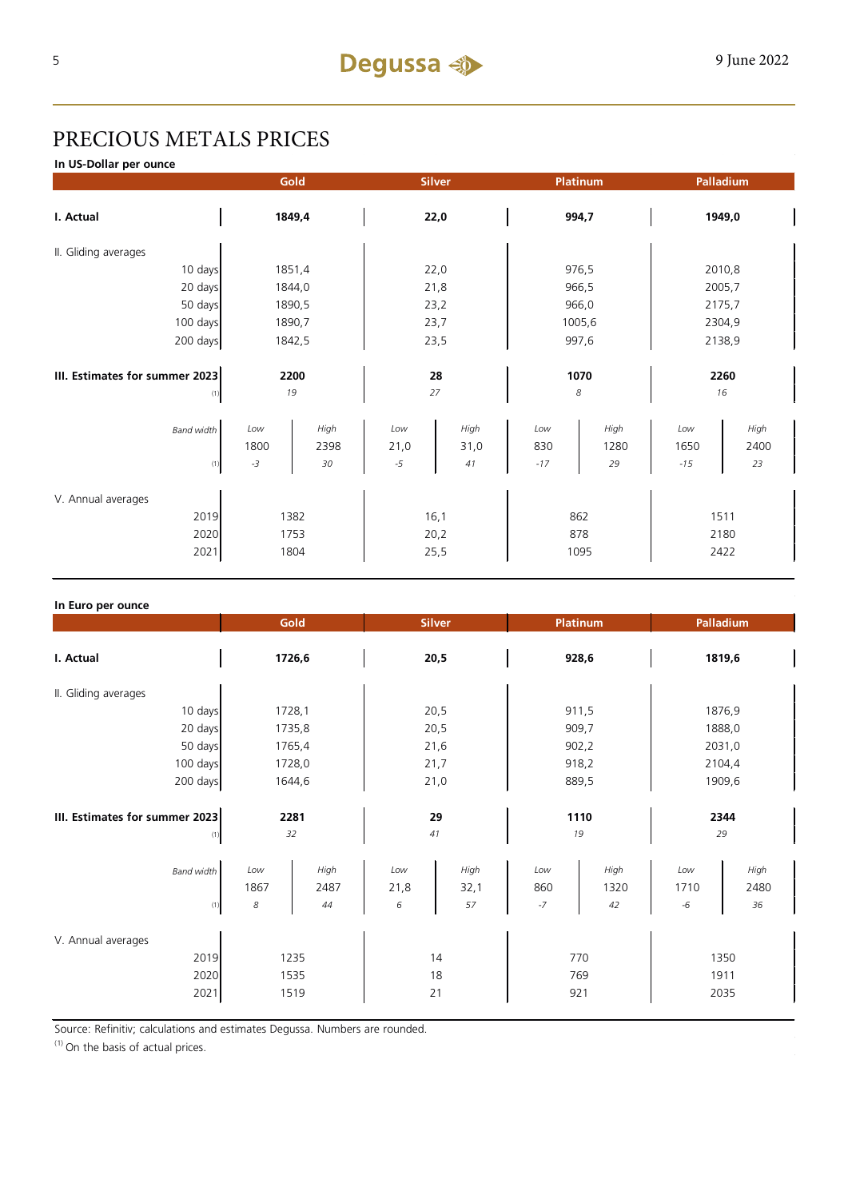## PRECIOUS METALS PRICES

**In US-Dollar per ounce**

|                                        |        | Gold   | <b>Platinum</b><br><b>Silver</b> |      | Palladium |        |        |        |  |
|----------------------------------------|--------|--------|----------------------------------|------|-----------|--------|--------|--------|--|
| I. Actual                              | 1849,4 |        | 22,0                             |      | 994,7     |        | 1949,0 |        |  |
| II. Gliding averages                   |        |        |                                  |      |           |        |        |        |  |
| 10 days                                |        | 1851,4 | 22,0                             |      | 976,5     |        | 2010,8 |        |  |
| 20 days                                |        | 1844,0 | 21,8                             |      | 966,5     |        | 2005,7 |        |  |
| 50 days                                |        | 1890,5 |                                  | 23,2 |           | 966,0  |        | 2175,7 |  |
| 100 days                               |        | 1890,7 |                                  | 23,7 |           | 1005,6 |        | 2304,9 |  |
| 200 days                               | 1842,5 |        | 23,5                             |      | 997,6     |        | 2138,9 |        |  |
|                                        |        |        |                                  |      |           |        |        |        |  |
| III. Estimates for summer 2023<br>2200 |        | 28     |                                  | 1070 |           | 2260   |        |        |  |
| (1)                                    | 19     |        | 27                               |      | 8         |        | 16     |        |  |
| <b>Band width</b>                      | Low    | High   | Low                              | High | Low       | High   | Low    | High   |  |
|                                        | 1800   | 2398   | 21,0                             | 31,0 | 830       | 1280   | 1650   | 2400   |  |
| (1)                                    | $-3$   | 30     | $-5$                             | 41   | $-17$     | 29     | $-15$  | 23     |  |
|                                        |        |        |                                  |      |           |        |        |        |  |
| V. Annual averages                     |        |        |                                  |      |           |        |        |        |  |
| 2019                                   | 1382   |        | 16,1                             |      | 862       |        | 1511   |        |  |
| 2020                                   | 1753   |        | 20,2                             |      | 878       |        | 2180   |        |  |
| 2021                                   | 1804   |        | 25,5                             |      | 1095      |        | 2422   |        |  |

| In Euro per ounce                          |                      |                    |                  |                    |                    |                    |                      |                    |  |
|--------------------------------------------|----------------------|--------------------|------------------|--------------------|--------------------|--------------------|----------------------|--------------------|--|
|                                            | Gold                 |                    | <b>Silver</b>    |                    | <b>Platinum</b>    |                    | Palladium            |                    |  |
| I. Actual                                  | 1726,6               |                    | 20,5             |                    | 928,6              |                    | 1819,6               |                    |  |
| II. Gliding averages                       |                      |                    |                  |                    |                    |                    |                      |                    |  |
| 10 days                                    |                      | 1728,1             |                  | 20,5               |                    | 911,5              |                      | 1876,9             |  |
| 20 days                                    |                      | 1735,8             |                  | 20,5               |                    | 909,7              |                      | 1888,0             |  |
| 50 days                                    |                      | 1765,4             |                  | 21,6               |                    | 902,2              |                      | 2031,0             |  |
| 100 days                                   |                      | 1728,0             |                  | 21,7               |                    | 918,2              |                      | 2104,4             |  |
| 200 days                                   | 1644,6               |                    | 21,0             |                    | 889,5              |                    | 1909,6               |                    |  |
| III. Estimates for summer 2023<br>(1)      | 2281<br>32           |                    | 29<br>41         |                    | 1110<br>19         |                    | 2344<br>29           |                    |  |
| <b>Band width</b><br>(1)                   | Low<br>1867<br>8     | High<br>2487<br>44 | Low<br>21,8<br>6 | High<br>32,1<br>57 | Low<br>860<br>$-7$ | High<br>1320<br>42 | Low<br>1710<br>$-6$  | High<br>2480<br>36 |  |
| V. Annual averages<br>2019<br>2020<br>2021 | 1235<br>1535<br>1519 |                    | 14<br>18<br>21   |                    | 770<br>769<br>921  |                    | 1350<br>1911<br>2035 |                    |  |

Source: Refinitiv; calculations and estimates Degussa. Numbers are rounded.

 $(1)$  On the basis of actual prices.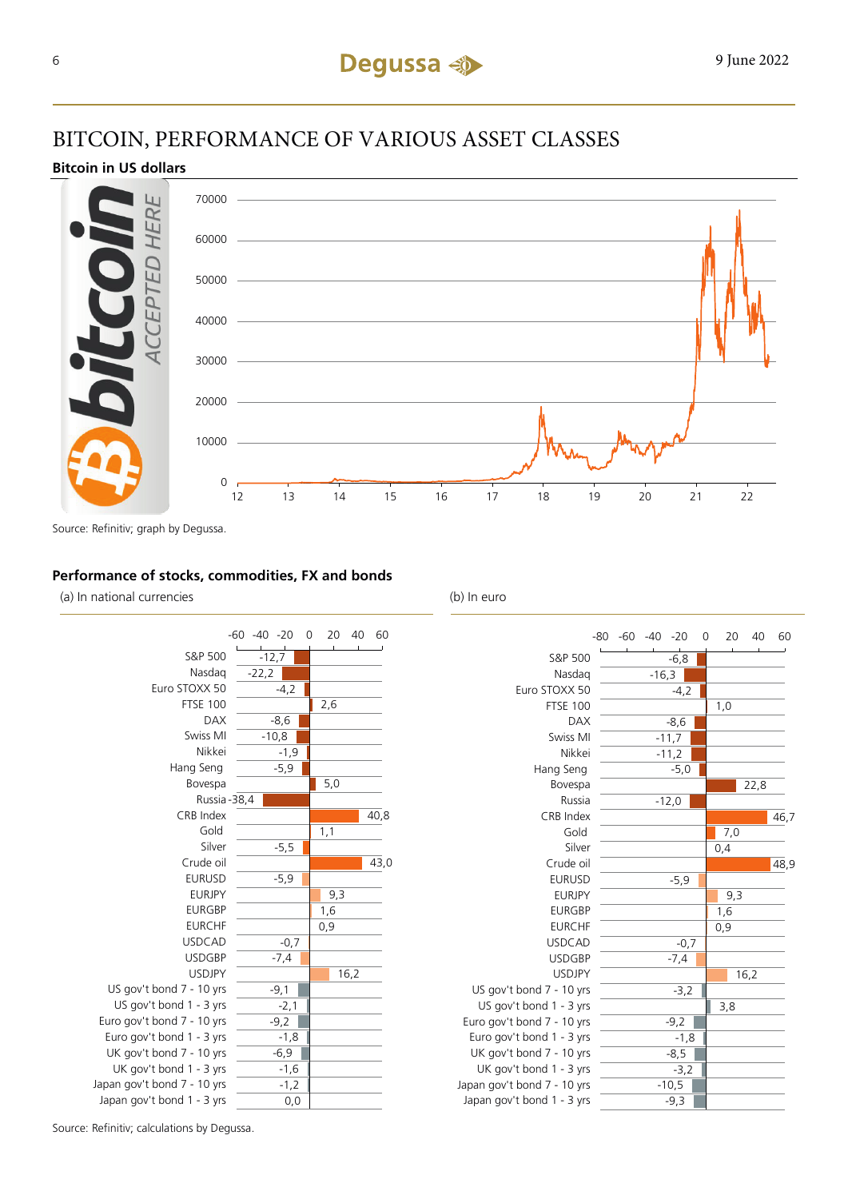### BITCOIN, PERFORMANCE OF VARIOUS ASSET CLASSES

### **Bitcoin in US dollars**



Source: Refinitiv; graph by Degussa.

### **Performance of stocks, commodities, FX and bonds**

(a) In national currencies (b) In euro





Source: Refinitiv; calculations by Degussa.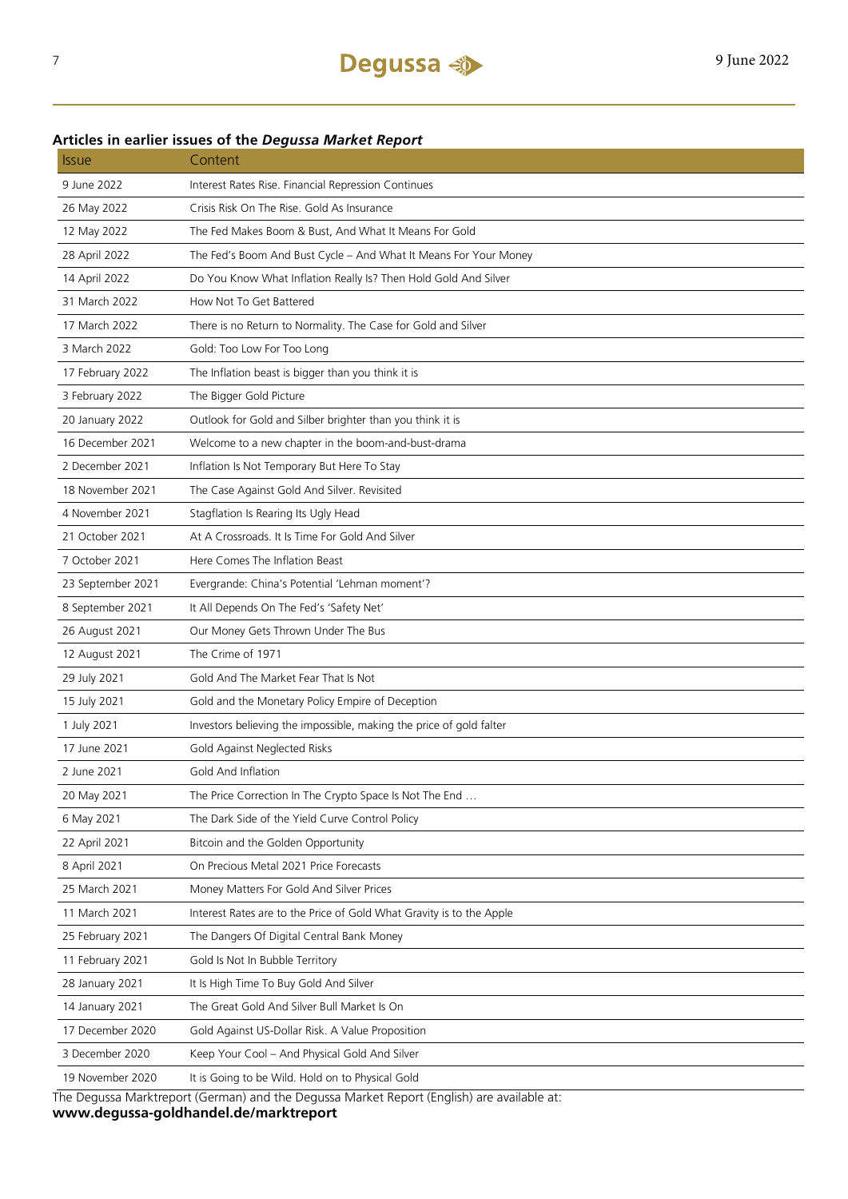### **Articles in earlier issues of the** *Degussa Market Report*

| <i><b>Issue</b></i> | Content                                                              |
|---------------------|----------------------------------------------------------------------|
| 9 June 2022         | Interest Rates Rise. Financial Repression Continues                  |
| 26 May 2022         | Crisis Risk On The Rise. Gold As Insurance                           |
| 12 May 2022         | The Fed Makes Boom & Bust, And What It Means For Gold                |
| 28 April 2022       | The Fed's Boom And Bust Cycle - And What It Means For Your Money     |
| 14 April 2022       | Do You Know What Inflation Really Is? Then Hold Gold And Silver      |
| 31 March 2022       | How Not To Get Battered                                              |
| 17 March 2022       | There is no Return to Normality. The Case for Gold and Silver        |
| 3 March 2022        | Gold: Too Low For Too Long                                           |
| 17 February 2022    | The Inflation beast is bigger than you think it is                   |
| 3 February 2022     | The Bigger Gold Picture                                              |
| 20 January 2022     | Outlook for Gold and Silber brighter than you think it is            |
| 16 December 2021    | Welcome to a new chapter in the boom-and-bust-drama                  |
| 2 December 2021     | Inflation Is Not Temporary But Here To Stay                          |
| 18 November 2021    | The Case Against Gold And Silver. Revisited                          |
| 4 November 2021     | Stagflation Is Rearing Its Ugly Head                                 |
| 21 October 2021     | At A Crossroads. It Is Time For Gold And Silver                      |
| 7 October 2021      | Here Comes The Inflation Beast                                       |
| 23 September 2021   | Evergrande: China's Potential 'Lehman moment'?                       |
| 8 September 2021    | It All Depends On The Fed's 'Safety Net'                             |
| 26 August 2021      | Our Money Gets Thrown Under The Bus                                  |
| 12 August 2021      | The Crime of 1971                                                    |
| 29 July 2021        | Gold And The Market Fear That Is Not                                 |
| 15 July 2021        | Gold and the Monetary Policy Empire of Deception                     |
| 1 July 2021         | Investors believing the impossible, making the price of gold falter  |
| 17 June 2021        | Gold Against Neglected Risks                                         |
| 2 June 2021         | Gold And Inflation                                                   |
| 20 May 2021         | The Price Correction In The Crypto Space Is Not The End              |
| 6 May 2021          | The Dark Side of the Yield Curve Control Policy                      |
| 22 April 2021       | Bitcoin and the Golden Opportunity                                   |
| 8 April 2021        | On Precious Metal 2021 Price Forecasts                               |
| 25 March 2021       | Money Matters For Gold And Silver Prices                             |
| 11 March 2021       | Interest Rates are to the Price of Gold What Gravity is to the Apple |
| 25 February 2021    | The Dangers Of Digital Central Bank Money                            |
| 11 February 2021    | Gold Is Not In Bubble Territory                                      |
| 28 January 2021     | It Is High Time To Buy Gold And Silver                               |
| 14 January 2021     | The Great Gold And Silver Bull Market Is On                          |
| 17 December 2020    | Gold Against US-Dollar Risk. A Value Proposition                     |
| 3 December 2020     | Keep Your Cool - And Physical Gold And Silver                        |
| 19 November 2020    | It is Going to be Wild. Hold on to Physical Gold                     |
|                     | t (Corman) and the Deguse Market Benert (English) are available at   |

The Degussa Marktreport (German) and the Degussa Market Report (English) are available at: **www.degussa-goldhandel.de/marktreport**